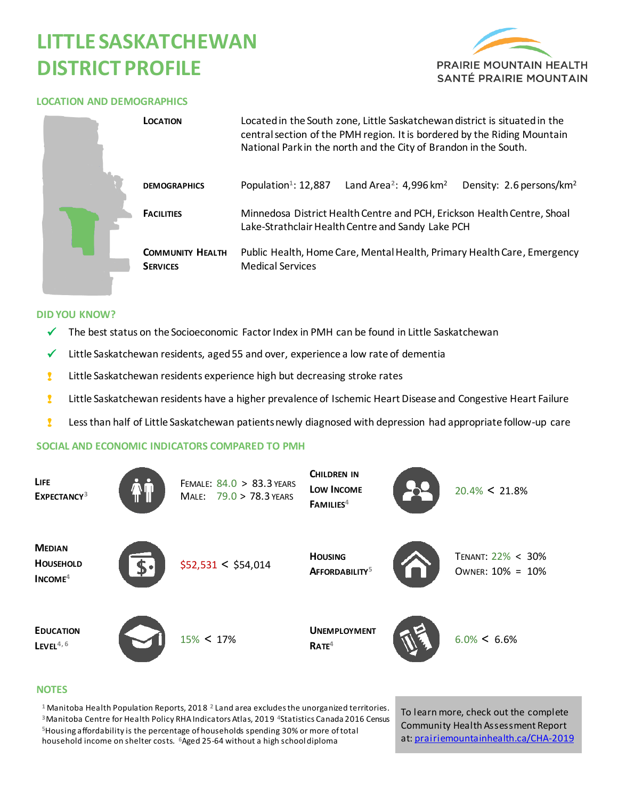# **LITTLE SASKATCHEWAN DISTRICT PROFILE**



### **LOCATION AND DEMOGRAPHICS**

|  | <b>LOCATION</b>                            | Located in the South zone, Little Saskatchewan district is situated in the<br>central section of the PMH region. It is bordered by the Riding Mountain<br>National Park in the north and the City of Brandon in the South. |  |  |  |  |  |  |
|--|--------------------------------------------|----------------------------------------------------------------------------------------------------------------------------------------------------------------------------------------------------------------------------|--|--|--|--|--|--|
|  | <b>DEMOGRAPHICS</b>                        | Population <sup>1</sup> : 12,887<br>Land Area <sup>2</sup> : 4,996 km <sup>2</sup><br>Density: 2.6 persons/km <sup>2</sup>                                                                                                 |  |  |  |  |  |  |
|  | <b>FACILITIES</b>                          | Minnedosa District Health Centre and PCH, Erickson Health Centre, Shoal<br>Lake-Strathclair Health Centre and Sandy Lake PCH                                                                                               |  |  |  |  |  |  |
|  | <b>COMMUNITY HEALTH</b><br><b>SERVICES</b> | Public Health, Home Care, Mental Health, Primary Health Care, Emergency<br><b>Medical Services</b>                                                                                                                         |  |  |  |  |  |  |

#### **DID YOU KNOW?**

- $\checkmark$  The best status on the Socioeconomic Factor Index in PMH can be found in Little Saskatchewan
- $\checkmark$  Little Saskatchewan residents, aged 55 and over, experience a low rate of dementia
- **I** Little Saskatchewan residents experience high but decreasing stroke rates
- **8** Little Saskatchewan residents have a higher prevalence of Ischemic Heart Disease and Congestive Heart Failure
- ! Less than half of Little Saskatchewan patients newly diagnosed with depression had appropriate follow-up care

#### **SOCIAL AND ECONOMIC INDICATORS COMPARED TO PMH**

| LIFE<br>EXPECTANCY <sup>3</sup>                | FEMALE: 84.0 > 83.3 YEARS<br>MALE: 79.0 > 78.3 YEARS | CHILDREN IN<br>LOW INCOME<br>FAMILIES <sup>4</sup> | $20.4\% < 21.8\%$                     |
|------------------------------------------------|------------------------------------------------------|----------------------------------------------------|---------------------------------------|
| <b>MEDIAN</b><br><b>HOUSEHOLD</b><br>$INCOME4$ | \$52,531 < \$54,014                                  | <b>HOUSING</b><br>AFFORDABILITY <sup>5</sup>       | TENANT: 22% < 30%<br>OWNER: 10% = 10% |
| <b>EDUCATION</b><br>$L$ EVEL <sup>4,6</sup>    | $15\% < 17\%$                                        | <b>UNEMPLOYMENT</b><br>RATE <sup>4</sup>           | $6.0\% < 6.6\%$                       |

#### **NOTES**

 Manitoba Health Population Reports, 2018 **<sup>2</sup>**Land area excludes the unorganized territories. Manitoba Centre for Health Policy RHA Indicators Atlas, 2019 **<sup>4</sup>**Statistics Canada 2016 Census Housing affordability is the percentage of households spending 30% or more of total household income on shelter costs. **<sup>6</sup>**Aged 25-64 without a high school diploma

To learn more, check out the complete Community Health Assessment Report at[: prairiemountainhealth.ca/CHA-2019](https://prairiemountainhealth.ca/CHA-2019)